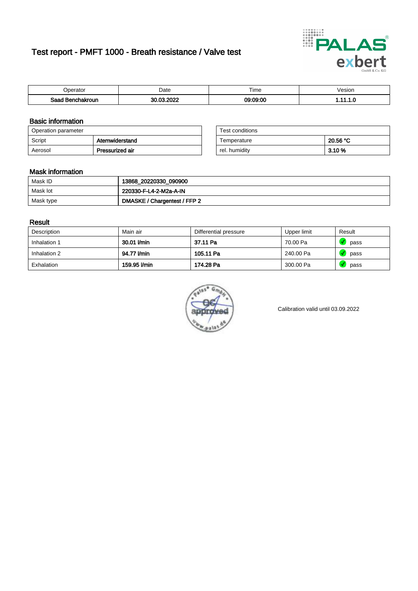# Test report - PMFT 1000 - Breath resistance / Valve test



| n<br>aw                     | Date                     | $- \cdot$<br><b>Time</b> | /esion |
|-----------------------------|--------------------------|--------------------------|--------|
| Saad<br><b>chakroun</b><br> | 000C<br>$\sim$<br>$\sim$ | 09:09:00                 | .      |

### Basic information

| Operation parameter |                 | Test conditions |          |
|---------------------|-----------------|-----------------|----------|
| Script              | Atemwiderstand  | Temperature     | 20.56 °C |
| Aerosol             | Pressurized air | rel. humidity   | 3.10 %   |

| Test conditions |          |
|-----------------|----------|
| Temperature     | 20.56 °C |
| rel. humidity   | 3.10%    |

### Mask information

| Mask ID   | 13868_20220330_090900        |
|-----------|------------------------------|
| Mask lot  | 220330-F-L4-2-M2a-A-IN       |
| Mask type | DMASKE / Chargentest / FFP 2 |

### Result

| Description  | Main air     | Differential pressure | Upper limit | Result |
|--------------|--------------|-----------------------|-------------|--------|
| Inhalation 1 | 30.01 l/min  | 37.11 Pa              | 70.00 Pa    | pass   |
| Inhalation 2 | 94.77 l/min  | 105.11 Pa             | 240.00 Pa   | pass   |
| Exhalation   | 159.95 l/min | 174.28 Pa             | 300.00 Pa   | pass   |



Calibration valid until 03.09.2022